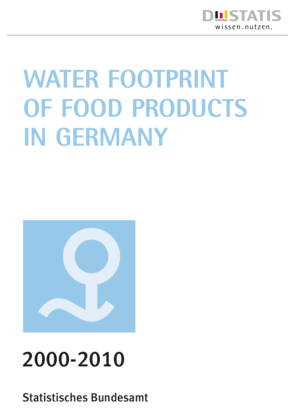

# **WATER FOOTPRINT of food products in Germany**



## 2000-2010

Statistisches Bundesamt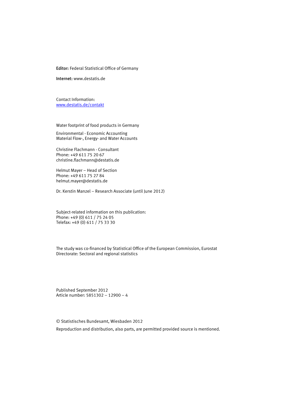Editor: Federal Statistical Office of Germany

Internet: www.destatis.de

Contact Information: [www.destatis.de/contakt](http://www.destatis.de/Kontakt)

Water footprint of food products in Germany

Environmental - Economic Accounting Material Flow-, Energy- and Water Accounts

Christine Flachmann - Consultant Phone: +49 611 75 20 67 christine.flachmann@destatis.de

Helmut Mayer – Head of Section Phone: +49 611 75 27 84 helmut.mayer@destatis.de

Dr. Kerstin Manzel – Research Associate (until June 2012)

Subject-related information on this publication: Phone: +49 (0) 611 / 75 24 05 Telefax: +49 (0) 611 / 75 33 30

The study was co-financed by Statistical Office of the European Commission, Eurostat Directorate: Sectoral and regional statistics

Published September 2012 Article number: 5851302 – 12900 – 4

© Statistisches Bundesamt, Wiesbaden 2012

Reproduction and distribution, also parts, are permitted provided source is mentioned.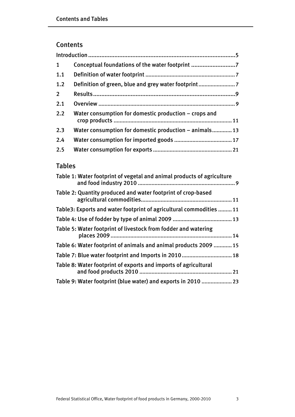## Contents

| $\mathbf{1}$ | Conceptual foundations of the water footprint          |
|--------------|--------------------------------------------------------|
| 1.1          |                                                        |
| 1.2          | Definition of green, blue and grey water footprint     |
| $2^{\circ}$  |                                                        |
| 2.1          |                                                        |
| 2.2          | Water consumption for domestic production - crops and  |
| 2.3          | Water consumption for domestic production – animals 13 |
| 2.4          |                                                        |
| 2.5          |                                                        |

## Tables

| Table 1: Water footprint of vegetal and animal products of agriculture |
|------------------------------------------------------------------------|
| Table 2: Quantity produced and water footprint of crop-based           |
| Table 3: Exports and water footprint of agricultural commodities  11   |
|                                                                        |
| Table 5: Water footprint of livestock from fodder and watering         |
| Table 6: Water footprint of animals and animal products 2009  15       |
|                                                                        |
| Table 8: Water footprint of exports and imports of agricultural        |
| Table 9: Water footprint (blue water) and exports in 2010  23          |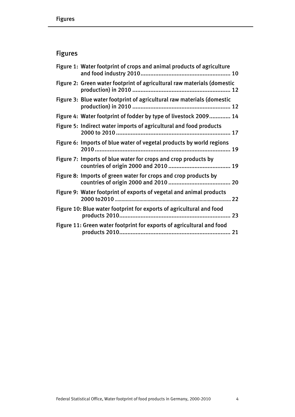## Figures

| Figure 1: Water footprint of crops and animal products of agriculture   |
|-------------------------------------------------------------------------|
| Figure 2: Green water footprint of agricultural raw materials (domestic |
| Figure 3: Blue water footprint of agricultural raw materials (domestic  |
| Figure 4: Water footprint of fodder by type of livestock 2009 14        |
| Figure 5: Indirect water imports of agricultural and food products      |
| Figure 6: Imports of blue water of vegetal products by world regions    |
| Figure 7: Imports of blue water for crops and crop products by          |
| Figure 8: Imports of green water for crops and crop products by         |
| Figure 9: Water footprint of exports of vegetal and animal products     |
| Figure 10: Blue water footprint for exports of agricultural and food    |
| Figure 11: Green water footprint for exports of agricultural and food   |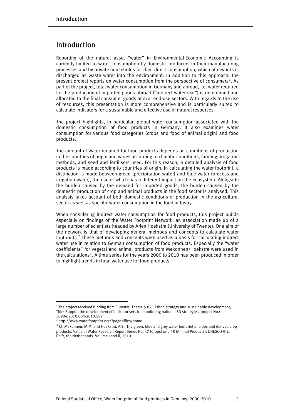## Introduction

Reporting of the natural asset "water" in Environmental-Economic Accounting is currently limited to water consumption by domestic producers in their manufacturing processes and by private households for their direct consumption, which afterwards is discharged as waste water into the environment. In addition to this approach, the present project reports on water consumption from the perspective of consumers<sup>[1](#page-4-0)</sup>. As part of the project, total water consumption in Germany and abroad, i.e. water required for the production of imported goods abroad ("indirect water use") is determined and allocated to the final consumer goods and/or end-use sectors. With regards to the use of resources, this presentation is more comprehensive and is particularly suited to calculate indicators for a sustainable and effective use of natural resources.

The project highlights, in particular, global water consumption associated with the domestic consumption of food products in Germany. It also examines water consumption for various food categories (crops and food of animal origin) and food products.

The amount of water required for food products depends on conditions of production in the countries of origin and varies according to climatic conditions, farming, irrigation methods, and seed and fertilisers used. For this reason, a detailed analysis of food products is made according to countries of origin. In calculating the water footprint, a distinction is made between green (precipitation water) and blue water (process and irrigation water), the use of which has a different impact on the ecosystem. Alongside the burden caused by the demand for imported goods, the burden caused by the domestic production of crop and animal products in the food sector is analysed. This analysis takes account of both domestic conditions of production in the agricultural sector as well as specific water consumption in the food industry.

When considering indirect water consumption for food products, this project builds especially on findings of the Water Footprint Network, an association made up of a large number of scientists headed by Arjen Hoekstra (University of Twente). One aim of the network is that of developing general methods and concepts to calculate water footprints.<sup>[2](#page-4-1)</sup> These methods and concepts were used as a basis for calculating indirect water use in relation to German consumption of food products. Especially the "water coefficients" for vegetal and animal products from Mekonnen/Hoekstra were used in the calculations<sup>[3](#page-4-2)</sup>. A time series for the years 2000 to 2010 has been produced in order to highlight trends in total water use for food products.

j

<span id="page-4-0"></span><sup>&</sup>lt;sup>1</sup> The project received funding from Eurostat: Theme 5.02, Lisbon strategy and sustainable development, Title: Support the development of indicator sets for monitoring national SD strategies, project No.: 50904.2010.004-2010.589

<span id="page-4-1"></span><sup>2</sup> http://www.waterfootprint.org/?page=files/home.

<span id="page-4-2"></span> $3$  Cf. Mekonnen, M.M. and Hoekstra, A.Y.: The green, blue and grey water footprint of crops and derived crop products, Value of Water Research Report Series No. 47 (Crops) und 48 (Animal Products), UNESCO-IHE, Delft, the Netherlands. Volume I and II, 2010.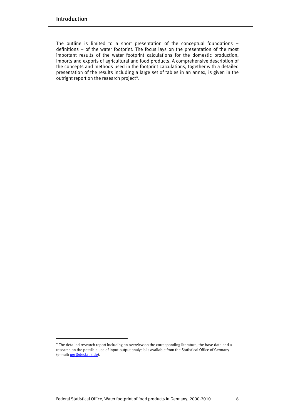j

The outline is limited to a short presentation of the conceptual foundations – definitions − of the water footprint. The focus lays on the presentation of the most important results of the water footprint calculations for the domestic production, imports and exports of agricultural and food products. A comprehensive description of the concepts and methods used in the footprint calculations, together with a detailed presentation of the results including a large set of tables in an annex, is given in the outright report on the research project<sup>[4](#page-5-0)</sup>.

<span id="page-5-0"></span> $^{4}$  The detailed research report including an overview on the corresponding literature, the base data and a research on the possible use of input-output analysis is available from the Statistical Office of Germany (e-mail: [ugr@destatis.de\)](mailto:ugr@destatis.de).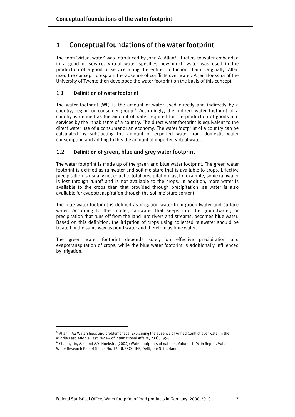## 1 Conceptual foundations of the water footprint

The term 'virtual water' was introduced by John A. Allan<sup>[5](#page-6-0)</sup>. It refers to water embedded in a good or service. Virtual water specifies how much water was used in the production of a good or service along the entire production chain. Originally, Allan used the concept to explain the absence of conflicts over water. Arjen Hoekstra of the University of Twente then developed the water footprint on the basis of this concept.

#### 1.1 Definition of water footprint

The water footprint (WF) is the amount of water used directly and indirectly by a country, region or consumer group.<sup>[6](#page-6-1)</sup> Accordingly, the indirect water footprint of a country is defined as the amount of water required for the production of goods and services by the inhabitants of a country. The direct water footprint is equivalent to the direct water use of a consumer or an economy. The water footprint of a country can be calculated by subtracting the amount of exported water from domestic water consumption and adding to this the amount of imported virtual water.

### 1.2 Definition of green, blue and grey water footprint

The water footprint is made up of the green and blue water footprint. The green water footprint is defined as rainwater and soil moisture that is available to crops. Effective precipitation is usually not equal to total precipitation, as, for example, some rainwater is lost through runoff and is not available to the crops. In addition, more water is available to the crops than that provided through precipitation, as water is also available for evapotranspiration through the soil moisture content.

The blue water footprint is defined as irrigation water from groundwater and surface water. According to this model, rainwater that seeps into the groundwater, or precipitation that runs off from the land into rivers and streams, becomes blue water. Based on this definition, the irrigation of crops using collected rainwater should be treated in the same way as pond water and therefore as blue water.

The green water footprint depends solely on effective precipitation and evapotranspiration of crops, while the blue water footprint is additionally influenced by irrigation.

j

<span id="page-6-0"></span><sup>5</sup> Allan, J.A.: Watersheds and problemsheds: Explaining the absence of Armed Conflict over water in the Middle East. Middle East Review of International Affairs, 2 (1), 1998

<span id="page-6-1"></span> $^6$  Chapagain, A.K. und A.Y. Hoekstra (2004): Water footprints of nations. Volume 1: Main Report. Value of Water Research Report Series No. 16, UNESCO-IHE, Delft, the Netherlands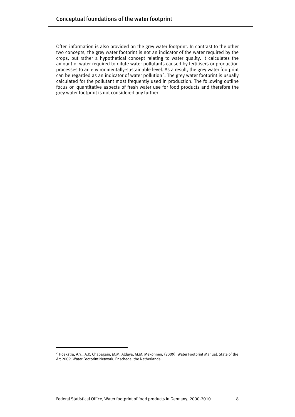Often information is also provided on the grey water footprint. In contrast to the other two concepts, the grey water footprint is not an indicator of the water required by the crops, but rather a hypothetical concept relating to water quality. It calculates the amount of water required to dilute water pollutants caused by fertilisers or production processes to an environmentally-sustainable level. As a result, the grey water footprint can be regarded as an indicator of water pollution<sup>[7](#page-7-0)</sup>. The grey water footprint is usually calculated for the pollutant most frequently used in production. The following outline focus on quantitative aspects of fresh water use for food products and therefore the grey water footprint is not considered any further.

j

<span id="page-7-0"></span> $^7$  Hoekstra, A.Y., A.K. Chapagain, M.M. Aldaya, M.M. Mekonnen, (2009): Water Footprint Manual. State of the Art 2009. Water Footprint Network. Enschede, the Netherlands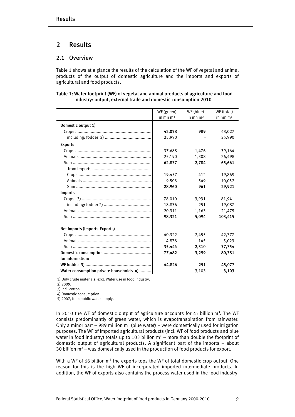## 2 Results

#### 2.1 Overview

Table 1 shows at a glance the results of the calculation of the WF of vegetal and animal products of the output of domestic agriculture and the imports and exports of agricultural and food products.

#### Table 1: Water footprint (WF) of vegetal and animal products of agriculture and food industry: output, external trade and domestic consumption 2010

| WF (green) | WF (blue)                                        | WF (total)                        |
|------------|--------------------------------------------------|-----------------------------------|
| in mn $m3$ | in mn $m3$                                       | in mn $m3$                        |
|            |                                                  |                                   |
| 42,038     | 989                                              | 43,027                            |
| 25,990     |                                                  | 25,990                            |
|            |                                                  |                                   |
| 37,688     | 1,476                                            | 39,164                            |
| 25,190     | 1,308                                            | 26,498                            |
| 62,877     | 2,784                                            | 65,661                            |
|            |                                                  |                                   |
| 19,457     | 412                                              | 19,869                            |
| 9,503      | 549                                              | 10,052                            |
| 28,960     | 961                                              | 29,921                            |
|            |                                                  |                                   |
| 78,010     | 3,931                                            | 81,941                            |
| 18,836     | 251                                              | 19,087                            |
| 20,311     | 1,163                                            | 21,475                            |
| 98,321     | 5,094                                            | 103,415                           |
|            |                                                  |                                   |
|            |                                                  | 42,777                            |
|            |                                                  | $-5,023$                          |
|            |                                                  | 37,754                            |
|            |                                                  | 80,781                            |
|            |                                                  |                                   |
|            | 251                                              | 45,077                            |
|            | 3,103                                            | 3,103                             |
|            | 40,322<br>$-4,878$<br>35,444<br>77,482<br>44,826 | 2,455<br>$-145$<br>2,310<br>3,299 |

1) Only crude materials, excl. Water use in food industry.

2) 2009.

3) Incl. cotton.

4) Domestic consumption

5) 2007, from public water supply.

In 2010 the WF of domestic output of agriculture accounts for 43 billion  $m^3$ . The WF consists predominantly of green water, which is evapotranspiration from rainwater. Only a minor part – 989 million  $m<sup>3</sup>$  (blue water) – were domestically used for irrigation purposes. The WF of imported agricultural products (incl. WF of food products and blue water in food industry) totals up to 103 billion  $m^3$  – more than double the footprint of domestic output of agricultural products. A significant part of the imports – about 30 billion  $m^3$  – was domestically used in the production of food products for export.

With a WF of 66 billion  $m^3$  the exports tops the WF of total domestic crop output. One reason for this is the high WF of incorporated imported intermediate products. In addition, the WF of exports also contains the process water used in the food industry.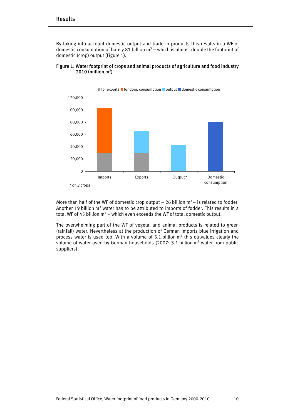By taking into account domestic output and trade in products this results in a WF of domestic consumption of barely 81 billion  $m^3$  – which is almost double the footprint of domestic (crop) output (Figure 1).



#### Figure 1: Water footprint of crops and animal products of agriculture and food industry  $2010$  (million m<sup>3</sup>)

More than half of the WF of domestic crop output – 26 billion  $m^3$  – is related to fodder. Another 19 billion  $m^3$  water has to be attributed to imports of fodder. This results in a total WF of 45 billion  $m^3$  – which even exceeds the WF of total domestic output.

The overwhelming part of the WF of vegetal and animal products is related to green (rainfall) water. Nevertheless at the production of German imports blue irrigation and process water is used too. With a volume of 5.1 billion  $m<sup>3</sup>$  this outvalues clearly the volume of water used by German households (2007: 3.1 billion  $m^3$  water from public suppliers).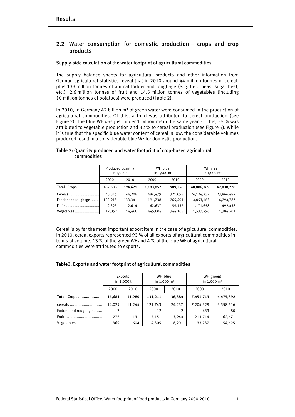#### 2.2 Water consumption for domestic production – crops and crop products

#### Supply-side calculation of the water footprint of agricultural commodities

The supply balance sheets for agricultural products and other information from German agricultural statistics reveal that in 2010 around 44 million tonnes of cereal, plus 133 million tonnes of animal fodder and roughage (e. g. field peas, sugar beet, etc.), 2.6 million tonnes of fruit and 14.5 million tonnes of vegetables (including 10 million tonnes of potatoes) were produced (Table 2).

In 2010, in Germany 42 billion  $m^3$  of green water were consumed in the production of agricultural commodities. Of this, a third was attributed to cereal production (see Figure 2). The blue WF was just under 1 billion  $m<sup>3</sup>$  in the same year. Of this, 35 % was attributed to vegetable production and 32 % to cereal production (see Figure 3). While it is true that the specific blue water content of cereal is low, the considerable volumes produced result in a considerable blue WF for domestic production.

|                     | Produced quantity<br>in $1,000t$ |         | WF (blue)<br>in $1,000 \text{ m}^3$ |         | WF (green)<br>in $1,000 \text{ m}^3$ |            |  |
|---------------------|----------------------------------|---------|-------------------------------------|---------|--------------------------------------|------------|--|
|                     | 2000                             | 2010    | 2000                                | 2010    | 2000                                 | 2010       |  |
| Total: Crops        | 187,608                          | 194,621 | 1,183,857                           | 989,756 | 40,886,369                           | 42,038,228 |  |
| Cereals             | 45,315                           | 44.206  | 484,479                             | 321,095 | 24,124,252                           | 23,866,482 |  |
| Fodder and roughage | 122,918                          | 133,341 | 191,738                             | 265,401 | 14,053,163                           | 16,294,787 |  |
| Fruits              | 2,323                            | 2,614   | 62,637                              | 59,157  | 1,171,658                            | 492,458    |  |
| Vegetables          | 17,052                           | 14,460  | 445,004                             | 344,103 | 1,537,296                            | 1,384,501  |  |

#### Table 2: Quantity produced and water footprint of crop-based agricultural commodities

Cereal is by far the most important export item in the case of agricultural commodities. In 2010, cereal exports represented 93 % of all exports of agricultural commodities in terms of volume. 13 % of the green WF and 4 % of the blue WF of agricultural commodities were attributed to exports.

#### Table3: Exports and water footprint of agricultural commodities

|                     | Exports<br>in 1,000 t |        |         | WF (blue)<br>in 1,000 m <sup>3</sup> | WF (green)<br>in 1,000 $\rm m^3$ |           |  |
|---------------------|-----------------------|--------|---------|--------------------------------------|----------------------------------|-----------|--|
|                     | 2000                  | 2010   | 2000    | 2010                                 | 2000                             | 2010      |  |
| Total: Crops        | 14,681                | 11,980 | 131,211 | 36,384                               | 7,451,713                        | 6,475,892 |  |
| cereals             | 14,029                | 11,244 | 121,743 | 24,237                               | 7,204,329                        | 6,358,516 |  |
| Fodder and roughage |                       |        | 12      |                                      | 433                              | 80        |  |
| Fruits              | 276                   | 131    | 5,151   | 3,944                                | 213,714                          | 62,671    |  |
| Vegetables          | 369                   | 604    | 4,305   | 8,201                                | 33,237                           | 54,625    |  |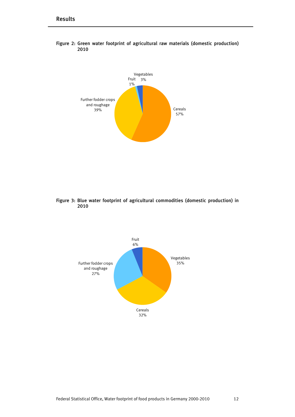



Figure 3: Blue water footprint of agricultural commodities (domestic production) in 2010

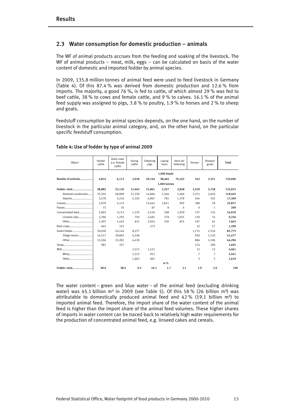#### 2.3 Water consumption for domestic production – animals

The WF of animal products accrues from the feeding and soaking of the livestock. The WF of animal products – meat, milk, eggs – can be calculated on basis of the water content of domestic and imported fodder by animal species.

In 2009, 135.8 million tonnes of animal feed were used to feed livestock in Germany (Table 4). Of this 87.4 % was derived from domestic production and 12.6 % from imports. The majority, a good 76 %, is fed to cattle, of which almost 29 % was fed to beef cattle, 38 % to cows and female cattle, and 9 % to calves. 16.1 % of the animal feed supply was assigned to pigs, 3.8 % to poultry, 1.9 % to horses and 2 % to sheep and goats.

Feedstuff consumption by animal species depends, on the one hand, on the number of livestock in the particular animal category, and, on the other hand, on the particular specific feedstuff consumption.

| Object              | Feeder<br>cattle | Dairy cows<br>a.o. female<br>cattle | Young<br>cattle | Fattening<br>pigs | Laving<br>hens | Hens for<br>fattening | Horses   | Sheeps/<br>goats | Total   |
|---------------------|------------------|-------------------------------------|-----------------|-------------------|----------------|-----------------------|----------|------------------|---------|
|                     |                  |                                     |                 |                   | 1.000 heads    |                       |          |                  |         |
| Number of animals   | 4,814            | 6,112                               | 2,018           | 20,144            | 38,464         | 76.162                | 542      | 2,351            | 150,606 |
|                     |                  |                                     |                 |                   | 1.000 tonnes   |                       |          |                  |         |
| Fodder, total       | 38,882           | 52,126                              | 12,463          | 21,861            | 2,327          | 2,838                 | 2,559    | 2,758            | 135,815 |
| Domestic production | 35,305           | 48,909                              | 11,359          | 14,894            | 1.546          | 1.460                 | 2.315    | 2.656            | 118,445 |
| Imports             | 3.578            | 3.216                               | 1,103           | 6,967             | 781            | 1.378                 | 244      | 102              | 17,369  |
|                     | 2.070            | 5.174                               |                 | 15.445            | 1,811          | 905                   | 388      | 78               | 25.871  |
|                     | 73               | 35                                  |                 | 87                | 8              | 4                     | $\Omega$ | 1                | 209     |
| Concentrated feed   | 5,093            | 3,113                               | 1,370           | 4,534             | 508            | 1,929                 | 237      | 135              | 16.919  |
| Linseed cake        | 2.786            | 1.703                               | 750             | 2.481             | 278            | 1.055                 | 130      | 74               | 9.256   |
| Other               | 2,307            | 1.410                               | 621             | 2.054             | 230            | 874                   | 107      | 61               | 7.663   |
| Root crops          | 645              | 323                                 |                 | 273               |                |                       | 32       | 17               | 1.290   |
| Green fodder        | 30.020           | 43,144                              | 8,577           |                   |                |                       | 1.715    | 2,316            | 85,773  |
| Silage maize        | 14.517           | 20,863                              | 4,148           |                   |                |                       | 830      | 1.120            | 41,477  |
| Other               | 15.504           | 22.281                              | 4.430           |                   |                |                       | 886      | 1,196            | 44.296  |
|                     | 981              | 337                                 |                 |                   |                |                       | 174      | 200              | 1.692   |
|                     |                  |                                     | 2,515           | 1,521             |                |                       | 12       | 12               | 4.061   |
| Whey                |                  |                                     | 1,512           | 915               |                |                       | 7        | 7                | 2,441   |
| Other               |                  |                                     | 1,003           | 607               |                |                       | 5        | 5                | 1.619   |
|                     |                  |                                     |                 |                   | in $%$         |                       |          |                  |         |
| Fodder, total       | 28.6             | 38.4                                | 9.2             | 16.1              | 1.7            | 2.1                   | 1.9      | 2.0              | 100     |

#### Table 4: Use of fodder by type of animal 2009

The water content – green and blue water – of the animal feed (excluding drinking water) was 45.1 billion m<sup>3</sup> in 2009 (see Table 5). Of this 58 % (26 billion m<sup>3</sup>) was attributable to domestically produced animal feed and 42 % (19.1 billion  $m^3$ ) to imported animal feed. Therefore, the import share of the water content of the animal feed is higher than the import share of the animal feed volumes. These higher shares of imports in water content can be traced back to relatively high water requirements for the production of concentrated animal feed, e.g. linseed cakes and cereals.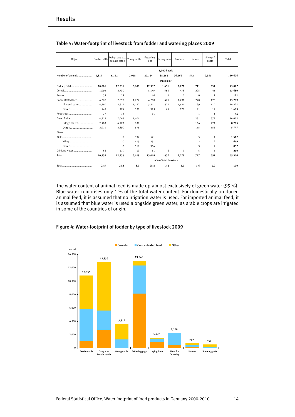| Object            | Feeder cattle | Dairy cows a.o.<br>female cattle | Young cattle | Fattening<br>pigs | Laving hens            | <b>Broilers</b> | Horses         | Sheeps/<br>goats | Total   |
|-------------------|---------------|----------------------------------|--------------|-------------------|------------------------|-----------------|----------------|------------------|---------|
|                   |               |                                  |              |                   | 1,000 heads            |                 |                |                  |         |
| Number of animals | 4.814         | 6.112                            | 2.018        | 20.144            | 38,464                 | 76.162          | 542            | 2,351            | 150,606 |
|                   |               |                                  |              |                   | million m <sup>3</sup> |                 |                |                  |         |
| Fodder, total     | 10,801        | 12,716                           | 3,609        | 12,987            | 1,431                  | 2,271           | 711            | 551              | 45,077  |
|                   | 1.092         | 2.730                            |              | 8.149             | 955                    | 478             | 205            | 41               | 13,650  |
|                   | 39            | 19                               |              | 46                | 4                      | $\overline{2}$  | $\mathbf 0$    | $\mathbf{1}$     | 111     |
| Concentrated feed | 4.728         | 2,890                            | 1,272        | 4,210             | 471                    | 1,791           | 220            | 126              | 15,709  |
| Linseed cake      | 4,280         | 2,617                            | 1,152        | 3,811             | 427                    | 1,621           | 199            | 114              | 14,221  |
| Other             | 448           | 274                              | 121          | 399               | 45                     | 170             | 21             | 12               | 1.489   |
| Root crops        | 27            | 13                               |              | 11                |                        |                 | 1              | 1                | 54      |
|                   | 4,915         | 7,063                            | 1,404        |                   |                        |                 | 281            | 379              | 14,042  |
| Silage maize      | 2,903         | 4,173                            | 830          |                   |                        |                 | 166            | 224              | 8,295   |
| Other             | 2,011         | 2,890                            | 575          |                   |                        |                 | 115            | 155              | 5,747   |
|                   |               |                                  |              |                   |                        |                 |                |                  |         |
|                   |               | $\Omega$                         | 932          | 571               |                        |                 | 5              | 4                | 1.512   |
| Whey              |               | $\Omega$                         | 415          | 251               |                        |                 | $\overline{2}$ | $\mathcal{P}$    | 669     |
| Other             |               | $\Omega$                         | 518          | 314               |                        |                 | 3              | $\overline{2}$   | 837     |
| Drinking water    | 54            | 119                              | 10           | 61                | 6                      | 7               | 5              | 6                | 269     |
|                   | 10,855        | 12,834                           | 3.619        | 13,048            | 1,437                  | 2,278           | 717            | 557              | 45,346  |
|                   |               | in % of total livestock          |              |                   |                        |                 |                |                  |         |
|                   | 23.9          | 28.3                             | 8.0          | 28.8              | 3.2                    | 5.0             | 1.6            | 1.2              | 100     |

#### Table 5: Water-footprint of livestock from fodder and watering places 2009

The water content of animal feed is made up almost exclusively of green water (99 %). Blue water comprises only 1 % of the total water content. For domestically produced animal feed, it is assumed that no irrigation water is used. For imported animal feed, it is assumed that blue water is used alongside green water, as arable crops are irrigated in some of the countries of origin.



#### Figure 4: Water-footprint of fodder by type of livestock 2009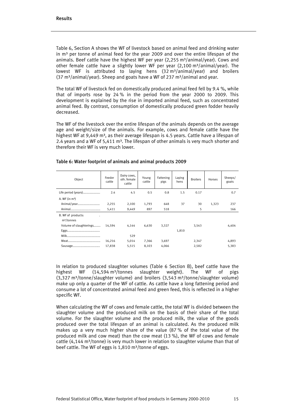Table 6, Section A shows the WF of livestock based on animal feed and drinking water in  $m<sup>3</sup>$  per tonne of animal feed for the year 2009 and over the entire lifespan of the animals. Beef cattle have the highest WF per year  $(2,255 \text{ m}^3/\text{animal/year})$ . Cows and other female cattle have a slightly lower WF per year  $(2,100 \text{ m}^3/\text{animal/year})$ . The lowest WF is attributed to laying hens (32 m<sup>3</sup>/animal/year) and broilers (37 m<sup>3</sup>/animal/year). Sheep and goats have a WF of 237 m<sup>3</sup>/animal and year.

The total WF of livestock fed on domestically produced animal feed fell by 9.4 %, while that of imports rose by 24 % in the period from the year 2000 to 2009. This development is explained by the rise in imported animal feed, such as concentrated animal feed. By contrast, consumption of domestically produced green fodder heavily decreased.

The WF of the livestock over the entire lifespan of the animals depends on the average age and weight/size of the animals. For example, cows and female cattle have the highest WF at 9,449 m<sup>3</sup>, as their average lifespan is 4.5 years. Cattle have a lifespan of 2.4 years and a WF of 5,411  $m<sup>3</sup>$ . The lifespan of other animals is very much shorter and therefore their WF is very much lower.

| Object                  | Feeder<br>cattle | Dairy cows,<br>oth. female<br>cattle | Young<br>cattle | Fattening<br>pigs | Laving<br>hens | <b>Broilers</b> | Horses | Sheeps/<br>goats |
|-------------------------|------------------|--------------------------------------|-----------------|-------------------|----------------|-----------------|--------|------------------|
| Life period (years)     | 2.4              | 4.5                                  | 0.5             | 0.8               | 1.5            | 0.17            |        | 0.7              |
| A. WF (in $m^3$ )       |                  |                                      |                 |                   |                |                 |        |                  |
| Animal/year             | 2,255            | 2,100                                | 1,793           | 648               | 37             | 30              | 1,323  | 237              |
|                         | 5,411            | 9,449                                | 897             | 518               |                | 5               |        | 166              |
| B. WF of products:      |                  |                                      |                 |                   |                |                 |        |                  |
| m <sup>3</sup> /tonnes  |                  |                                      |                 |                   |                |                 |        |                  |
| Volume of slaughterings | 14,594           | 4,144                                | 6,630           | 3,327             |                | 3,543           |        | 4,404            |
|                         |                  |                                      |                 |                   | 1,810          |                 |        |                  |
|                         |                  | 529                                  |                 |                   |                |                 |        |                  |
|                         | 16,216           | 5,014                                | 7,366           | 3,697             |                | 2,347           |        | 4,893            |
| Sausage                 | 17,838           | 5,515                                | 8,103           | 4,066             |                | 2,582           |        | 5,383            |

#### Table 6: Water footprint of animals and animal products 2009

In relation to produced slaughter volumes (Table 6 Section B), beef cattle have the highest WF  $(14,594 \text{ m}^3/\text{tonnes}$  slaughter weight). The WF of pigs  $(3.327 \text{ m}^3/\text{tonne/s}$ laughter volume) and broilers  $(3.543 \text{ m}^3/\text{tonne/s}$ laughter volume) make up only a quarter of the WF of cattle. As cattle have a long fattening period and consume a lot of concentrated animal feed and green feed, this is reflected in a higher specific WF.

When calculating the WF of cows and female cattle, the total WF is divided between the slaughter volume and the produced milk on the basis of their share of the total volume. For the slaughter volume and the produced milk, the value of the goods produced over the total lifespan of an animal is calculated. As the produced milk makes up a very much higher share of the value (87 % of the total value of the produced milk and cow meat) than the cow meat (13 %), the WF of cows and female cattle  $(4,144 \text{ m}^3/\text{tonne})$  is very much lower in relation to slaughter volume than that of beef cattle. The WF of eggs is  $1,810 \text{ m}^3$ /tonne of eggs.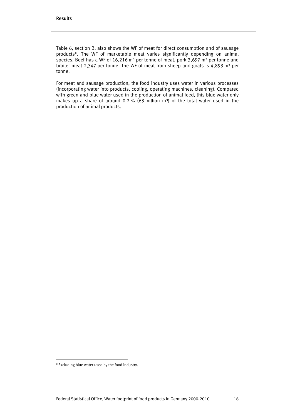Table 6, section B, also shows the WF of meat for direct consumption and of sausage products<sup>[8](#page-15-0)</sup>. The WF of marketable meat varies significantly depending on animal species. Beef has a WF of 16,216 m<sup>3</sup> per tonne of meat, pork 3,697 m<sup>3</sup> per tonne and broiler meat 2,347 per tonne. The WF of meat from sheep and goats is 4,893  $m<sup>3</sup>$  per tonne.

For meat and sausage production, the food industry uses water in various processes (incorporating water into products, cooling, operating machines, cleaning). Compared with green and blue water used in the production of animal feed, this blue water only makes up a share of around 0.2 % (63 million  $m^3$ ) of the total water used in the production of animal products.

j

<span id="page-15-0"></span><sup>&</sup>lt;sup>8</sup> Excluding blue water used by the food industry.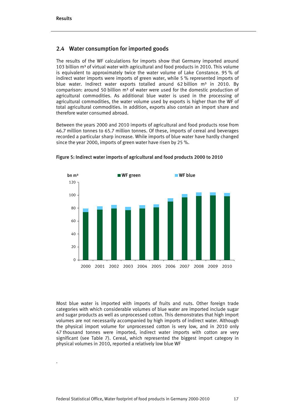.

#### 2.4 Water consumption for imported goods

The results of the WF calculations for imports show that Germany imported around 103 billion m<sup>3</sup> of virtual water with agricultural and food products in 2010. This volume is equivalent to approximately twice the water volume of Lake Constance. 95 % of indirect water imports were imports of green water, while 5 % represented imports of blue water. Indirect water exports totalled around 62 billion  $m<sup>3</sup>$  in 2010. By comparison: around 50 billion  $m<sup>3</sup>$  of water were used for the domestic production of agricultural commodities. As additional blue water is used in the processing of agricultural commodities, the water volume used by exports is higher than the WF of total agricultural commodities. In addition, exports also contain an import share and therefore water consumed abroad.

Between the years 2000 and 2010 imports of agricultural and food products rose from 46.7 million tonnes to 65.7 million tonnes. Of these, imports of cereal and beverages recorded a particular sharp increase. While imports of blue water have hardly changed since the year 2000, imports of green water have risen by 25 %.



Figure 5: Indirect water imports of agricultural and food products 2000 to 2010

Most blue water is imported with imports of fruits and nuts. Other foreign trade categories with which considerable volumes of blue water are imported include sugar and sugar products as well as unprocessed cotton. This demonstrates that high import volumes are not necessarily accompanied by high imports of indirect water. Although the physical import volume for unprocessed cotton is very low, and in 2010 only 47 thousand tonnes were imported, indirect water imports with cotton are very significant (see Table 7). Cereal, which represented the biggest import category in physical volumes in 2010, reported a relatively low blue WF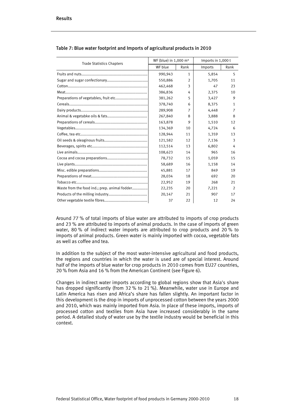| <b>Trade Statistics Chapters</b>              | WF (blue) in 1,000 m <sup>3</sup> |               | Imports in 1,000 t |                |  |
|-----------------------------------------------|-----------------------------------|---------------|--------------------|----------------|--|
|                                               | WF blue                           | Rank          | Imports            | Rank           |  |
|                                               | 990,943                           | $\mathbf{1}$  | 5,854              | 5              |  |
|                                               | 550,886                           | $\mathcal{P}$ | 1,705              | 11             |  |
|                                               | 462,468                           | 3             | 47                 | 23             |  |
|                                               | 386,836                           | 4             | 2.375              | 10             |  |
|                                               | 381,262                           | 5             | 3,427              | 9              |  |
|                                               | 378,740                           | 6             | 8,375              | 1              |  |
|                                               | 289,908                           | 7             | 4,448              | 7              |  |
|                                               | 267,840                           | 8             | 3,888              | 8              |  |
|                                               | 163,878                           | 9             | 1,510              | 12             |  |
|                                               | 134,369                           | 10            | 4,724              | 6              |  |
|                                               | 128,944                           | 11            | 1,359              | 13             |  |
|                                               | 121,582                           | 12            | 7,136              | 3              |  |
|                                               | 112,514                           | 13            | 6,802              | 4              |  |
|                                               | 108,623                           | 14            | 965                | 16             |  |
|                                               | 78,732                            | 15            | 1,059              | 15             |  |
|                                               | 58,689                            | 16            | 1,158              | 14             |  |
|                                               | 45,881                            | 17            | 849                | 19             |  |
|                                               | 28,034                            | 18            | 692                | 20             |  |
|                                               | 22,952                            | 19            | 268                | 21             |  |
| Waste from the food ind.; prep. animal fodder | 22,235                            | 20            | 7,221              | $\overline{2}$ |  |
|                                               | 20,147                            | 21            | 907                | 17             |  |
|                                               | 37                                | 22            | 12                 | 24             |  |

#### Table 7: Blue water footprint and Imports of agricultural products in 2010

Around 77 % of total imports of blue water are attributed to imports of crop products and 23 % are attributed to imports of animal products. In the case of imports of green water, 80 % of indirect water imports are attributed to crop products and 20 % to imports of animal products. Green water is mainly imported with cocoa, vegetable fats as well as coffee and tea.

In addition to the subject of the most water-intensive agricultural and food products, the regions and countries in which the water is used are of special interest. Around half of the imports of blue water for crop products in 2010 comes from EU27 countries, 20 % from Asia and 16 % from the American Continent (see Figure 6).

Changes in indirect water imports according to global regions show that Asia's share has dropped significantly (from 32 % to 21 %). Meanwhile, water use in Europe and Latin America has risen and Africa's share has fallen slightly. An important factor in this development is the drop in imports of unprocessed cotton between the years 2000 and 2010, which was mainly imported from Asia. In place of these imports, imports of processed cotton and textiles from Asia have increased considerably in the same period. A detailed study of water use by the textile industry would be beneficial in this context.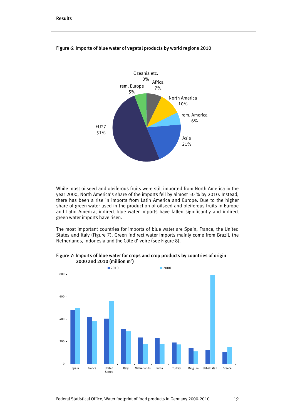

#### Figure 6: Imports of blue water of vegetal products by world regions 2010

While most oilseed and oleiferous fruits were still imported from North America in the year 2000, North America's share of the imports fell by almost 50 % by 2010. Instead, there has been a rise in imports from Latin America and Europe. Due to the higher share of green water used in the production of oilseed and oleiferous fruits in Europe and Latin America, indirect blue water imports have fallen significantly and indirect green water imports have risen.

The most important countries for imports of blue water are Spain, France, the United States and Italy (Figure 7). Green indirect water imports mainly come from Brazil, the Netherlands, Indonesia and the Côte d'Ivoire (see Figure 8).

#### Figure 7: Imports of blue water for crops and crop products by countries of origin 2000 and 2010 (million m<sup>3</sup>)

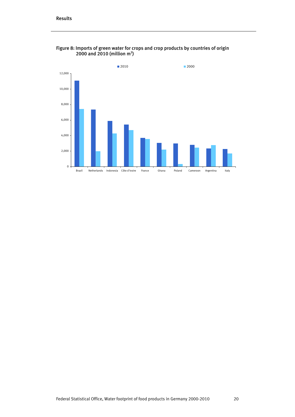

Figure 8: Imports of green water for crops and crop products by countries of origin 2000 and 2010 (million m<sup>3</sup>)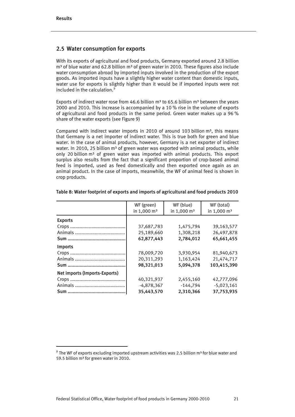j

#### 2.5 Water consumption for exports

With its exports of agricultural and food products, Germany exported around 2.8 billion  $m<sup>3</sup>$  of blue water and 62.8 billion  $m<sup>3</sup>$  of green water in 2010. These figures also include water consumption abroad by imported inputs involved in the production of the export goods. As imported inputs have a slightly higher water content than domestic inputs, water use for exports is slightly higher than it would be if imported inputs were not included in the calculation.<sup>[9](#page-20-0)</sup>

Exports of indirect water rose from 46.6 billion  $m<sup>3</sup>$  to 65.6 billion  $m<sup>3</sup>$  between the years 2000 and 2010. This increase is accompanied by a 10 % rise in the volume of exports of agricultural and food products in the same period. Green water makes up a 96 % share of the water exports (see Figure 9)

Compared with indirect water imports in 2010 of around 103 billion  $m^3$ , this means that Germany is a net importer of indirect water. This is true both for green and blue water. In the case of animal products, however, Germany is a net exporter of indirect water. In 2010, 25 billion  $m<sup>3</sup>$  of green water was exported with animal products, while only 20 billion  $m<sup>3</sup>$  of green water was imported with animal products. This export surplus also results from the fact that a significant proportion of crop-based animal feed is imported, used as feed domestically and then exported once again as an animal product. In the case of imports, meanwhile, the WF of animal feed is shown in crop products.

|                               | WF (green)<br>in 1,000 m <sup>3</sup> | WF (blue)<br>in 1,000 m <sup>3</sup> | WF (total)<br>in 1,000 m <sup>3</sup> |
|-------------------------------|---------------------------------------|--------------------------------------|---------------------------------------|
| <b>Exports</b>                |                                       |                                      |                                       |
|                               | 37,687,783                            | 1,475,794                            | 39,163,577                            |
|                               | 25,189,660                            | 1,308,218                            | 26,497,878                            |
|                               | 62,877,443                            | 2,784,012                            | 65,661,455                            |
| Imports                       |                                       |                                      |                                       |
|                               | 78,009,720                            | 3,930,954                            | 81,940,673                            |
|                               | 20,311,293                            | 1,163,424                            | 21,474,717                            |
|                               | 98.321.013                            | 5.094.378                            | 103,415,390                           |
| Net imports (Imports-Exports) |                                       |                                      |                                       |
|                               | 40,321,937                            | 2,455,160                            | 42,777,096                            |
|                               | $-4,878,367$                          | $-144,794$                           | $-5,023,161$                          |
|                               | 35,443,570                            | 2,310,366                            | 37,753,935                            |

#### Table 8: Water footprint of exports and imports of agricultural and food products 2010

<span id="page-20-0"></span> $9$  The WF of exports excluding imported upstream activities was 2.5 billion m<sup>3</sup> for blue water and 59.5 billion m<sup>3</sup> for green water in 2010.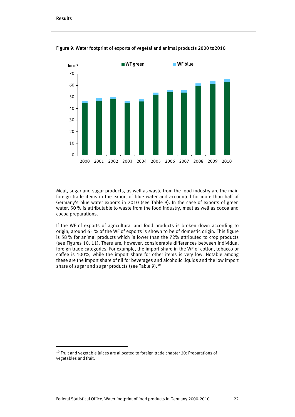j



Figure 9: Water footprint of exports of vegetal and animal products 2000 to2010

Meat, sugar and sugar products, as well as waste from the food industry are the main foreign trade items in the export of blue water and accounted for more than half of Germany's blue water exports in 2010 (see Table 9). In the case of exports of green water, 50 % is attributable to waste from the food industry, meat as well as cocoa and cocoa preparations.

If the WF of exports of agricultural and food products is broken down according to origin, around 65 % of the WF of exports is shown to be of domestic origin. This figure is 58 % for animal products which is lower than the 72% attributed to crop products (see Figures 10, 11). There are, however, considerable differences between individual foreign trade categories. For example, the import share in the WF of cotton, tobacco or coffee is 100%, while the import share for other items is very low. Notable among these are the import share of nil for beverages and alcoholic liquids and the low import share of sugar and sugar products (see Table 9).<sup>[10](#page-21-0)</sup>

<span id="page-21-0"></span> $10$  Fruit and vegetable juices are allocated to foreign trade chapter 20: Preparations of vegetables and fruit.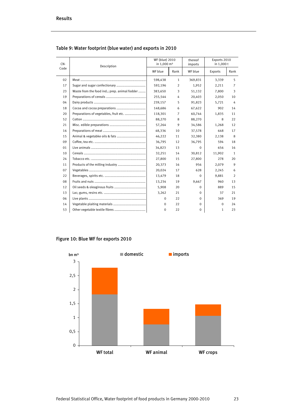| $CN -$ | Description                                   | WF (blue) 2010<br>in 1,000 m <sup>3</sup> |                | thereof<br>imports | Exports 2010<br>in 1,000 t |      |
|--------|-----------------------------------------------|-------------------------------------------|----------------|--------------------|----------------------------|------|
| Code   |                                               | WF blue                                   | Rank           | WF blue            | Exports                    | Rank |
| 02     |                                               | 598,438                                   | $\mathbf{1}$   | 369,831            | 3,339                      | 5    |
| 17     |                                               | 592,196                                   | 2              | 1,952              | 2,211                      | 7    |
| 23     | Waste from the food ind.; prep. animal fodder | 383,650                                   | 3              | 51,132             | 7,800                      | 3    |
| 19     |                                               | 255,544                                   | 4              | 20,403             | 2,050                      | 10   |
| 04     |                                               | 239,157                                   | 5              | 91,823             | 5,721                      | 4    |
| 18     |                                               | 148.686                                   | 6              | 67,622             | 902                        | 14   |
| 20     | Preparations of vegetables, fruit etc.        | 118,301                                   | $\overline{7}$ | 60,744             | 1,835                      | 11   |
| 52     |                                               | 88,270                                    | 8              | 88,270             | 8                          | 22   |
| 21     |                                               | 57.264                                    | 9              | 34,586             | 1,268                      | 12   |
| 16     |                                               | 48,336                                    | 10             | 37,578             | 648                        | 17   |
| 15     |                                               | 46.222                                    | 11             | 32,380             | 2,138                      | 8    |
| 09     |                                               | 36,795                                    | 12             | 36,795             | 594                        | 18   |
| 01     |                                               | 34,823                                    | 13             | $\Omega$           | 656                        | 16   |
| 10     |                                               | 32,251                                    | 14             | 30,812             | 11,902                     | 1    |
| 24     |                                               | 27,800                                    | 15             | 27,800             | 278                        | 20   |
| 11     |                                               | 20,373                                    | 16             | 956                | 2,079                      | 9    |
| 07     |                                               | 20,024                                    | 17             | 628                | 2,245                      | 6    |
| 22     |                                               | 13,479                                    | 18             | $\Omega$           | 9,881                      | 2    |
| 08     |                                               | 13,234                                    | 19             | 9,667              | 960                        | 13   |
| 12     |                                               | 5,908                                     | 20             | $\Omega$           | 889                        | 15   |
| 13     |                                               | 3,262                                     | 21             | $\Omega$           | 37                         | 21   |
| 06     |                                               | 0                                         | 22             | $\Omega$           | 369                        | 19   |
| 14     |                                               | 0                                         | 22             | $\Omega$           | 0                          | 24   |
| 53     |                                               | 0                                         | 22             | 0                  | 1                          | 23   |

Table 9: Water footprint (blue water) and exports in 2010

## Figure 10: Blue WF for exports 2010